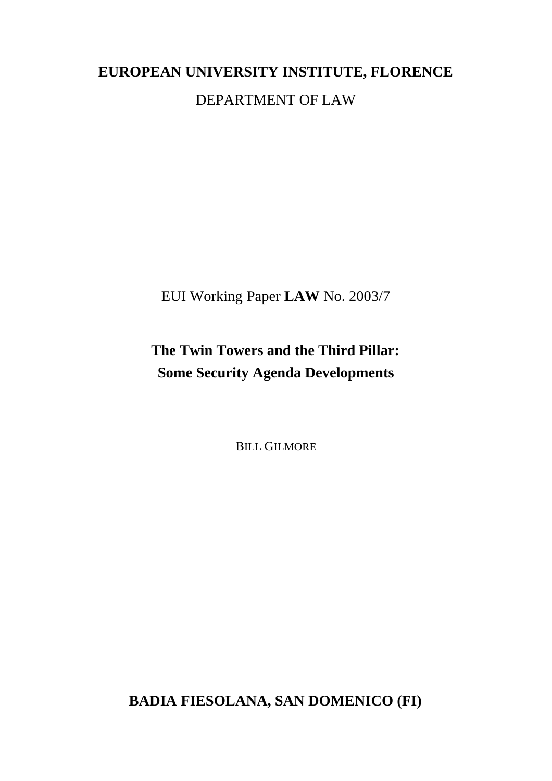# **EUROPEAN UNIVERSITY INSTITUTE, FLORENCE** DEPARTMENT OF LAW

EUI Working Paper **LAW** No. 2003/7

## **The Twin Towers and the Third Pillar: Some Security Agenda Developments**

BILL GILMORE

**BADIA FIESOLANA, SAN DOMENICO (FI)**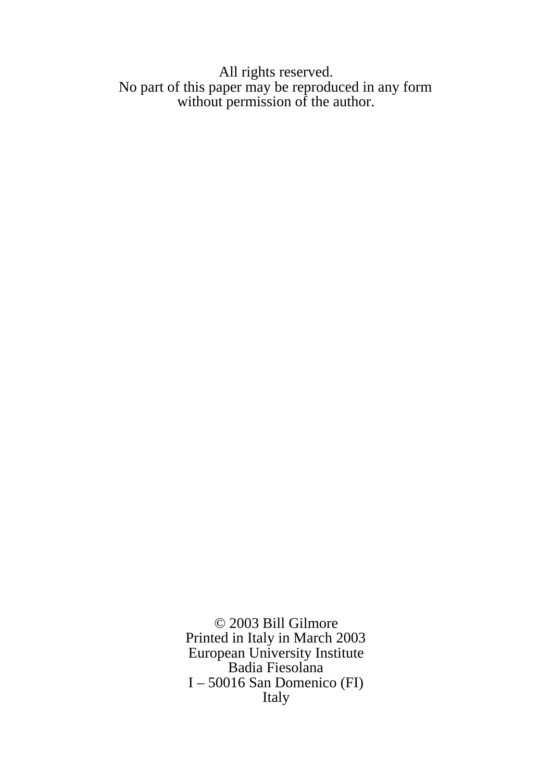#### All rights reserved. No part of this paper may be reproduced in any form without permission of the author.

© 2003 Bill Gilmore Printed in Italy in March 2003 European University Institute Badia Fiesolana I – 50016 San Domenico (FI) Italy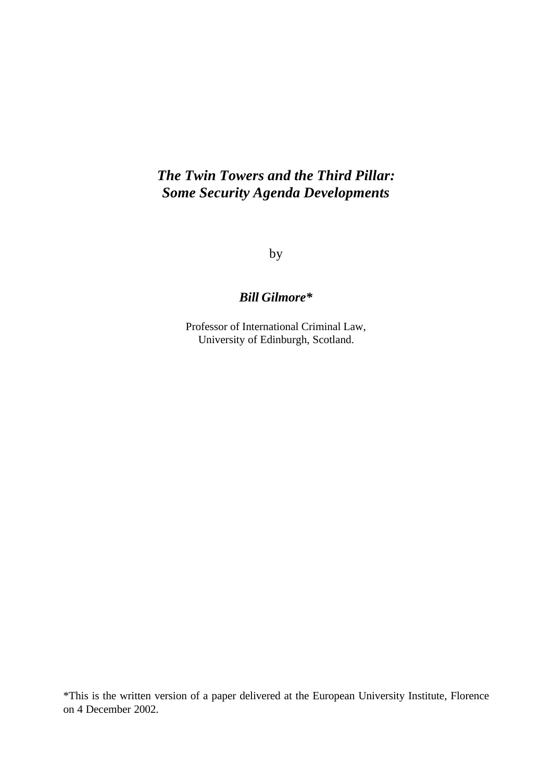## *The Twin Towers and the Third Pillar: Some Security Agenda Developments*

by

#### *Bill Gilmore\**

Professor of International Criminal Law, University of Edinburgh, Scotland.

\*This is the written version of a paper delivered at the European University Institute, Florence on 4 December 2002.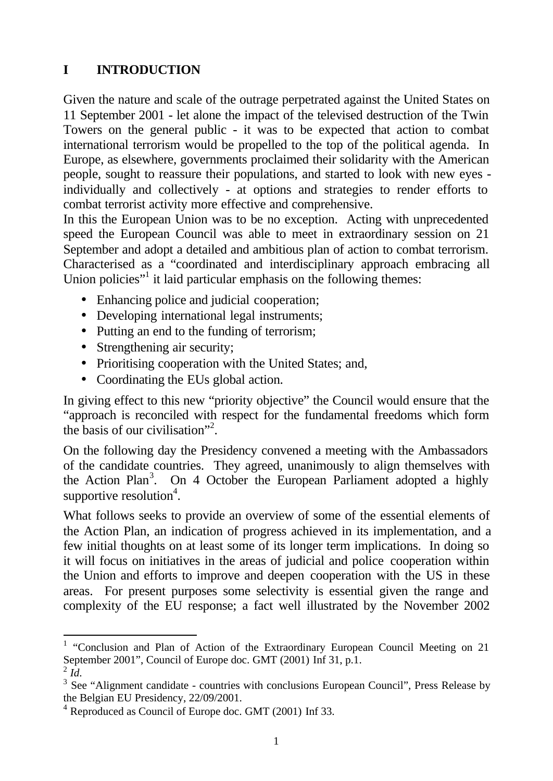## **I INTRODUCTION**

Given the nature and scale of the outrage perpetrated against the United States on 11 September 2001 - let alone the impact of the televised destruction of the Twin Towers on the general public - it was to be expected that action to combat international terrorism would be propelled to the top of the political agenda. In Europe, as elsewhere, governments proclaimed their solidarity with the American people, sought to reassure their populations, and started to look with new eyes individually and collectively - at options and strategies to render efforts to combat terrorist activity more effective and comprehensive.

In this the European Union was to be no exception. Acting with unprecedented speed the European Council was able to meet in extraordinary session on 21 September and adopt a detailed and ambitious plan of action to combat terrorism. Characterised as a "coordinated and interdisciplinary approach embracing all Union policies"<sup>1</sup> it laid particular emphasis on the following themes:

- Enhancing police and judicial cooperation;
- Developing international legal instruments;
- Putting an end to the funding of terrorism;
- Strengthening air security;
- Prioritising cooperation with the United States; and,
- Coordinating the EUs global action.

In giving effect to this new "priority objective" the Council would ensure that the "approach is reconciled with respect for the fundamental freedoms which form the basis of our civilisation"<sup>2</sup> .

On the following day the Presidency convened a meeting with the Ambassadors of the candidate countries. They agreed, unanimously to align themselves with the Action Plan<sup>3</sup>. On 4 October the European Parliament adopted a highly supportive resolution<sup>4</sup>.

What follows seeks to provide an overview of some of the essential elements of the Action Plan, an indication of progress achieved in its implementation, and a few initial thoughts on at least some of its longer term implications. In doing so it will focus on initiatives in the areas of judicial and police cooperation within the Union and efforts to improve and deepen cooperation with the US in these areas. For present purposes some selectivity is essential given the range and complexity of the EU response; a fact well illustrated by the November 2002

<sup>&</sup>lt;sup>1</sup> "Conclusion and Plan of Action of the Extraordinary European Council Meeting on 21 September 2001", Council of Europe doc. GMT (2001) Inf 31, p.1.

 $^2$  *Id*.

 $3$  See "Alignment candidate - countries with conclusions European Council", Press Release by the Belgian EU Presidency, 22/09/2001.

<sup>&</sup>lt;sup>4</sup> Reproduced as Council of Europe doc. GMT (2001) Inf 33.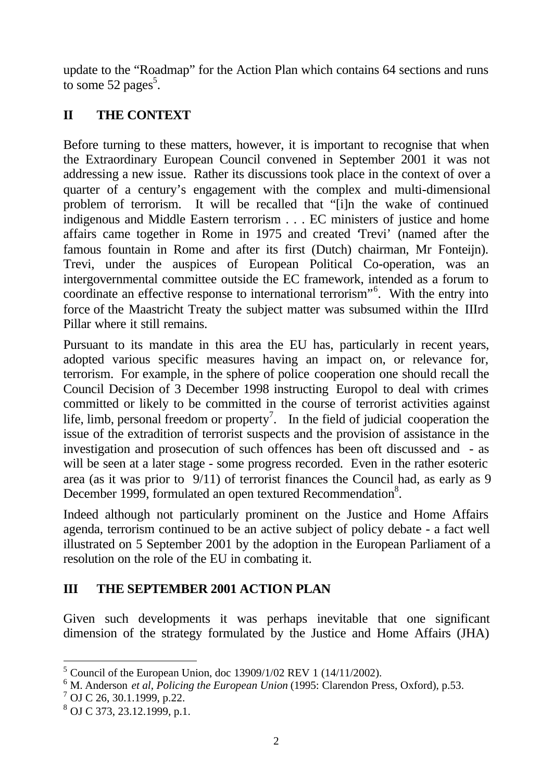update to the "Roadmap" for the Action Plan which contains 64 sections and runs to some 52 pages<sup>5</sup>.

## **II THE CONTEXT**

Before turning to these matters, however, it is important to recognise that when the Extraordinary European Council convened in September 2001 it was not addressing a new issue. Rather its discussions took place in the context of over a quarter of a century's engagement with the complex and multi-dimensional problem of terrorism. It will be recalled that "[i]n the wake of continued indigenous and Middle Eastern terrorism . . . EC ministers of justice and home affairs came together in Rome in 1975 and created 'Trevi' (named after the famous fountain in Rome and after its first (Dutch) chairman, Mr Fonteijn). Trevi, under the auspices of European Political Co-operation, was an intergovernmental committee outside the EC framework, intended as a forum to coordinate an effective response to international terrorism"<sup>6</sup>. With the entry into force of the Maastricht Treaty the subject matter was subsumed within the IIIrd Pillar where it still remains.

Pursuant to its mandate in this area the EU has, particularly in recent years, adopted various specific measures having an impact on, or relevance for, terrorism. For example, in the sphere of police cooperation one should recall the Council Decision of 3 December 1998 instructing Europol to deal with crimes committed or likely to be committed in the course of terrorist activities against life, limb, personal freedom or property<sup>7</sup>. In the field of judicial cooperation the issue of the extradition of terrorist suspects and the provision of assistance in the investigation and prosecution of such offences has been oft discussed and - as will be seen at a later stage - some progress recorded. Even in the rather esoteric area (as it was prior to 9/11) of terrorist finances the Council had, as early as 9 December 1999, formulated an open textured Recommendation<sup>8</sup>.

Indeed although not particularly prominent on the Justice and Home Affairs agenda, terrorism continued to be an active subject of policy debate - a fact well illustrated on 5 September 2001 by the adoption in the European Parliament of a resolution on the role of the EU in combating it.

## **III THE SEPTEMBER 2001 ACTION PLAN**

Given such developments it was perhaps inevitable that one significant dimension of the strategy formulated by the Justice and Home Affairs (JHA)

<sup>&</sup>lt;sup>5</sup> Council of the European Union, doc 13909/1/02 REV 1 (14/11/2002).

<sup>6</sup> M. Anderson *et al*, *Policing the European Union* (1995: Clarendon Press, Oxford), p.53.

 $7$  OJ C 26, 30.1.1999, p.22.

<sup>8</sup> OJ C 373, 23.12.1999, p.1.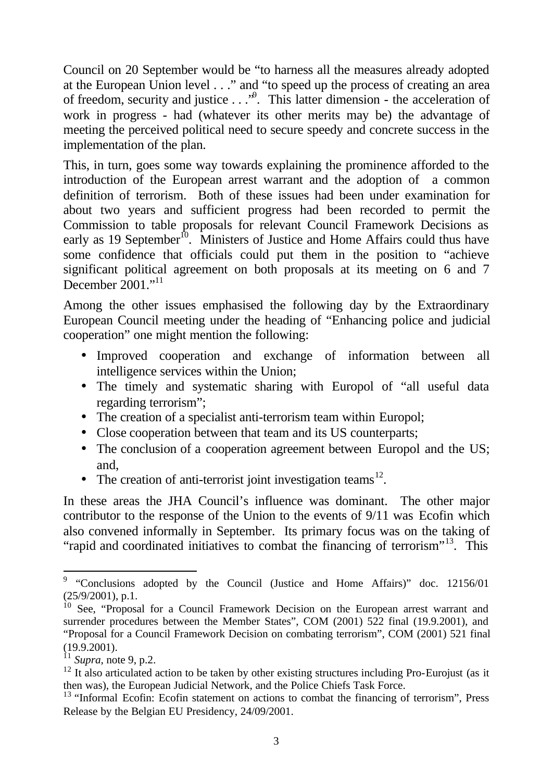Council on 20 September would be "to harness all the measures already adopted at the European Union level . . ." and "to speed up the process of creating an area of freedom, security and justice . . .<sup>\*9</sup>. This latter dimension - the acceleration of work in progress - had (whatever its other merits may be) the advantage of meeting the perceived political need to secure speedy and concrete success in the implementation of the plan.

This, in turn, goes some way towards explaining the prominence afforded to the introduction of the European arrest warrant and the adoption of a common definition of terrorism. Both of these issues had been under examination for about two years and sufficient progress had been recorded to permit the Commission to table proposals for relevant Council Framework Decisions as early as 19 September<sup>10</sup>. Ministers of Justice and Home Affairs could thus have some confidence that officials could put them in the position to "achieve significant political agreement on both proposals at its meeting on 6 and 7 December 2001."<sup>11</sup>

Among the other issues emphasised the following day by the Extraordinary European Council meeting under the heading of "Enhancing police and judicial cooperation" one might mention the following:

- Improved cooperation and exchange of information between all intelligence services within the Union;
- The timely and systematic sharing with Europol of "all useful data regarding terrorism";
- The creation of a specialist anti-terrorism team within Europol;
- Close cooperation between that team and its US counterparts;
- The conclusion of a cooperation agreement between Europol and the US; and,
- The creation of anti-terrorist joint investigation teams<sup>12</sup>.

In these areas the JHA Council's influence was dominant. The other major contributor to the response of the Union to the events of 9/11 was Ecofin which also convened informally in September. Its primary focus was on the taking of "rapid and coordinated initiatives to combat the financing of terrorism"<sup>13</sup>. This

 $9$  "Conclusions adopted by the Council (Justice and Home Affairs)" doc. 12156/01  $(25/9/2001)$ , p.1.

<sup>&</sup>lt;sup>10</sup> See, "Proposal for a Council Framework Decision on the European arrest warrant and surrender procedures between the Member States", COM (2001) 522 final (19.9.2001), and "Proposal for a Council Framework Decision on combating terrorism", COM (2001) 521 final (19.9.2001).

 $11$  *Supra*, note 9, p.2.

 $12$  It also articulated action to be taken by other existing structures including Pro-Eurojust (as it then was), the European Judicial Network, and the Police Chiefs Task Force.

 $13$  "Informal Ecofin: Ecofin statement on actions to combat the financing of terrorism", Press Release by the Belgian EU Presidency, 24/09/2001.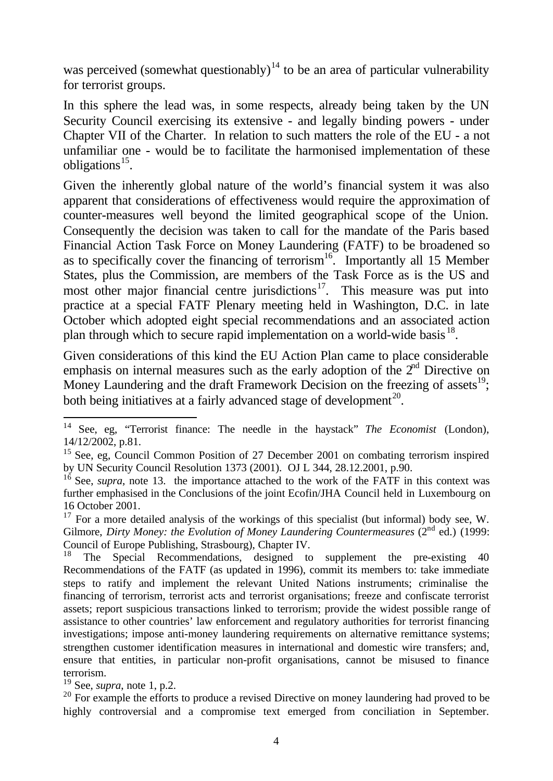was perceived (somewhat questionably)<sup>14</sup> to be an area of particular vulnerability for terrorist groups.

In this sphere the lead was, in some respects, already being taken by the UN Security Council exercising its extensive - and legally binding powers - under Chapter VII of the Charter. In relation to such matters the role of the EU - a not unfamiliar one - would be to facilitate the harmonised implementation of these obligations<sup>15</sup>.

Given the inherently global nature of the world's financial system it was also apparent that considerations of effectiveness would require the approximation of counter-measures well beyond the limited geographical scope of the Union. Consequently the decision was taken to call for the mandate of the Paris based Financial Action Task Force on Money Laundering (FATF) to be broadened so as to specifically cover the financing of terrorism<sup>16</sup>. Importantly all 15 Member States, plus the Commission, are members of the Task Force as is the US and most other major financial centre jurisdictions<sup>17</sup>. This measure was put into practice at a special FATF Plenary meeting held in Washington, D.C. in late October which adopted eight special recommendations and an associated action plan through which to secure rapid implementation on a world-wide basis  $^{18}$ .

Given considerations of this kind the EU Action Plan came to place considerable emphasis on internal measures such as the early adoption of the  $2<sup>nd</sup>$  Directive on Money Laundering and the draft Framework Decision on the freezing of assets $^{19}$ ; both being initiatives at a fairly advanced stage of development<sup>20</sup>.

<sup>19</sup> See, *supra*, note 1, p.2.

j

<sup>14</sup> See, eg, "Terrorist finance: The needle in the haystack" *The Economist* (London), 14/12/2002, p.81.

<sup>&</sup>lt;sup>15</sup> See, eg, Council Common Position of 27 December 2001 on combating terrorism inspired by UN Security Council Resolution 1373 (2001). OJ L 344, 28.12.2001, p.90.

<sup>&</sup>lt;sup>16</sup> See, *supra*, note 13. the importance attached to the work of the FATF in this context was further emphasised in the Conclusions of the joint Ecofin/JHA Council held in Luxembourg on 16 October 2001.

 $17$  For a more detailed analysis of the workings of this specialist (but informal) body see, W. Gilmore, *Dirty Money: the Evolution of Money Laundering Countermeasures* (2<sup>nd</sup> ed.) (1999: Council of Europe Publishing, Strasbourg), Chapter IV.

<sup>18</sup> The Special Recommendations, designed to supplement the pre-existing 40 Recommendations of the FATF (as updated in 1996), commit its members to: take immediate steps to ratify and implement the relevant United Nations instruments; criminalise the financing of terrorism, terrorist acts and terrorist organisations; freeze and confiscate terrorist assets; report suspicious transactions linked to terrorism; provide the widest possible range of assistance to other countries' law enforcement and regulatory authorities for terrorist financing investigations; impose anti-money laundering requirements on alternative remittance systems; strengthen customer identification measures in international and domestic wire transfers; and, ensure that entities, in particular non-profit organisations, cannot be misused to finance terrorism.

 $20$  For example the efforts to produce a revised Directive on money laundering had proved to be highly controversial and a compromise text emerged from conciliation in September.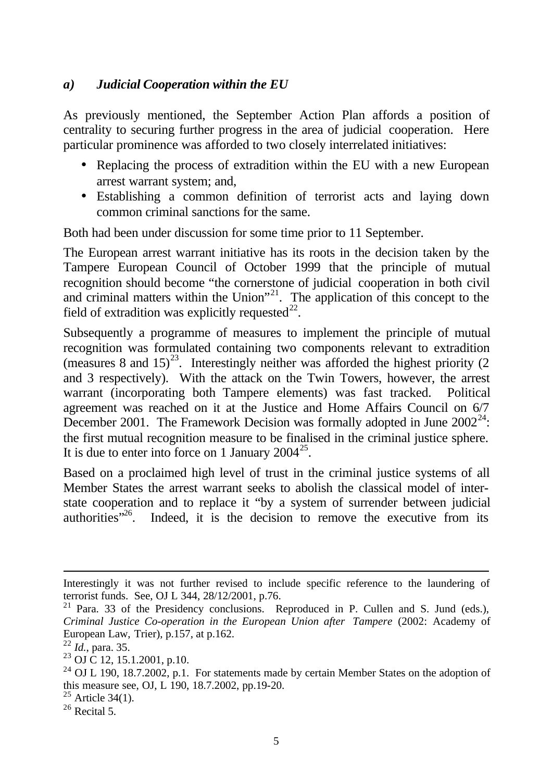#### *a) Judicial Cooperation within the EU*

As previously mentioned, the September Action Plan affords a position of centrality to securing further progress in the area of judicial cooperation. Here particular prominence was afforded to two closely interrelated initiatives:

- Replacing the process of extradition within the EU with a new European arrest warrant system; and,
- Establishing a common definition of terrorist acts and laying down common criminal sanctions for the same.

Both had been under discussion for some time prior to 11 September.

The European arrest warrant initiative has its roots in the decision taken by the Tampere European Council of October 1999 that the principle of mutual recognition should become "the cornerstone of judicial cooperation in both civil and criminal matters within the Union"<sup>21</sup>. The application of this concept to the field of extradition was explicitly requested $^{22}$ .

Subsequently a programme of measures to implement the principle of mutual recognition was formulated containing two components relevant to extradition (measures 8 and  $15^{23}$ . Interestingly neither was afforded the highest priority (2) and 3 respectively). With the attack on the Twin Towers, however, the arrest warrant (incorporating both Tampere elements) was fast tracked. Political agreement was reached on it at the Justice and Home Affairs Council on 6/7 December 2001. The Framework Decision was formally adopted in June  $2002^{24}$ . the first mutual recognition measure to be finalised in the criminal justice sphere. It is due to enter into force on 1 January  $2004^{25}$ .

Based on a proclaimed high level of trust in the criminal justice systems of all Member States the arrest warrant seeks to abolish the classical model of interstate cooperation and to replace it "by a system of surrender between judicial authorities $12<sup>6</sup>$ . Indeed, it is the decision to remove the executive from its

Interestingly it was not further revised to include specific reference to the laundering of terrorist funds. See, OJ L 344, 28/12/2001, p.76.

 $21$  Para. 33 of the Presidency conclusions. Reproduced in P. Cullen and S. Jund (eds.), *Criminal Justice Co-operation in the European Union after Tampere* (2002: Academy of European Law, Trier), p.157, at p.162.

<sup>22</sup> *Id.*, para. 35.

 $^{23}$  OJ C 12, 15.1.2001, p.10.

 $24$  OJ L 190, 18.7.2002, p.1. For statements made by certain Member States on the adoption of this measure see, OJ, L 190, 18.7.2002, pp.19-20.

 $25$  Article 34(1).

 $26$  Recital 5.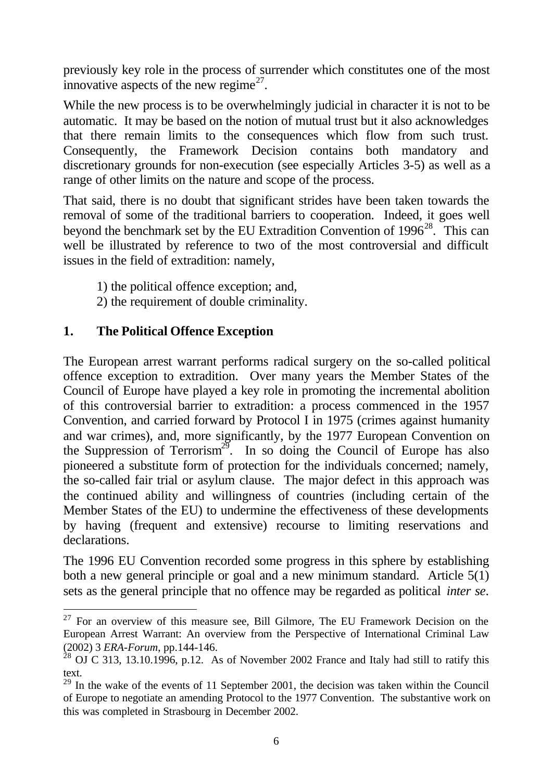previously key role in the process of surrender which constitutes one of the most innovative aspects of the new regime $^{27}$ .

While the new process is to be overwhelmingly judicial in character it is not to be automatic. It may be based on the notion of mutual trust but it also acknowledges that there remain limits to the consequences which flow from such trust. Consequently, the Framework Decision contains both mandatory and discretionary grounds for non-execution (see especially Articles 3-5) as well as a range of other limits on the nature and scope of the process.

That said, there is no doubt that significant strides have been taken towards the removal of some of the traditional barriers to cooperation. Indeed, it goes well beyond the benchmark set by the EU Extradition Convention of  $1996^{28}$ . This can well be illustrated by reference to two of the most controversial and difficult issues in the field of extradition: namely,

- 1) the political offence exception; and,
- 2) the requirement of double criminality.

## **1. The Political Offence Exception**

l

The European arrest warrant performs radical surgery on the so-called political offence exception to extradition. Over many years the Member States of the Council of Europe have played a key role in promoting the incremental abolition of this controversial barrier to extradition: a process commenced in the 1957 Convention, and carried forward by Protocol I in 1975 (crimes against humanity and war crimes), and, more significantly, by the 1977 European Convention on the Suppression of Terrorism<sup>29</sup>. In so doing the Council of Europe has also pioneered a substitute form of protection for the individuals concerned; namely, the so-called fair trial or asylum clause. The major defect in this approach was the continued ability and willingness of countries (including certain of the Member States of the EU) to undermine the effectiveness of these developments by having (frequent and extensive) recourse to limiting reservations and declarations.

The 1996 EU Convention recorded some progress in this sphere by establishing both a new general principle or goal and a new minimum standard. Article 5(1) sets as the general principle that no offence may be regarded as political *inter se*.

 $27$  For an overview of this measure see, Bill Gilmore, The EU Framework Decision on the European Arrest Warrant: An overview from the Perspective of International Criminal Law (2002) 3 *ERA-Forum*, pp.144-146.

 $^{28}$  OJ C 313, 13.10.1996, p.12. As of November 2002 France and Italy had still to ratify this text.

 $29$  In the wake of the events of 11 September 2001, the decision was taken within the Council of Europe to negotiate an amending Protocol to the 1977 Convention. The substantive work on this was completed in Strasbourg in December 2002.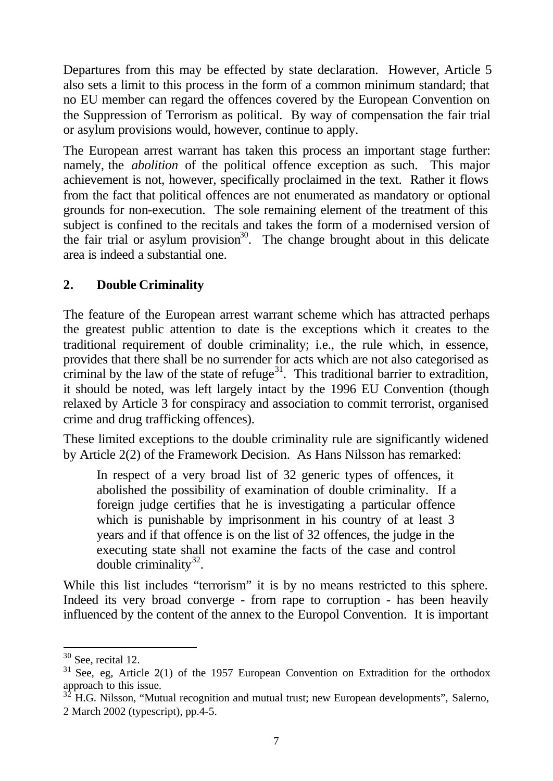Departures from this may be effected by state declaration. However, Article 5 also sets a limit to this process in the form of a common minimum standard; that no EU member can regard the offences covered by the European Convention on the Suppression of Terrorism as political. By way of compensation the fair trial or asylum provisions would, however, continue to apply.

The European arrest warrant has taken this process an important stage further: namely, the *abolition* of the political offence exception as such. This major achievement is not, however, specifically proclaimed in the text. Rather it flows from the fact that political offences are not enumerated as mandatory or optional grounds for non-execution. The sole remaining element of the treatment of this subject is confined to the recitals and takes the form of a modernised version of the fair trial or asylum provision<sup>30</sup>. The change brought about in this delicate area is indeed a substantial one.

## **2. Double Criminality**

The feature of the European arrest warrant scheme which has attracted perhaps the greatest public attention to date is the exceptions which it creates to the traditional requirement of double criminality; i.e., the rule which, in essence, provides that there shall be no surrender for acts which are not also categorised as criminal by the law of the state of refuge<sup>31</sup>. This traditional barrier to extradition, it should be noted, was left largely intact by the 1996 EU Convention (though relaxed by Article 3 for conspiracy and association to commit terrorist, organised crime and drug trafficking offences).

These limited exceptions to the double criminality rule are significantly widened by Article 2(2) of the Framework Decision. As Hans Nilsson has remarked:

In respect of a very broad list of 32 generic types of offences, it abolished the possibility of examination of double criminality. If a foreign judge certifies that he is investigating a particular offence which is punishable by imprisonment in his country of at least 3 years and if that offence is on the list of 32 offences, the judge in the executing state shall not examine the facts of the case and control double criminality $^{32}$ .

While this list includes "terrorism" it is by no means restricted to this sphere. Indeed its very broad converge - from rape to corruption - has been heavily influenced by the content of the annex to the Europol Convention. It is important

 $30$  See, recital 12.

 $31$  See, eg, Article 2(1) of the 1957 European Convention on Extradition for the orthodox approach to this issue.

<sup>32</sup> H.G. Nilsson, "Mutual recognition and mutual trust; new European developments", Salerno, 2 March 2002 (typescript), pp.4-5.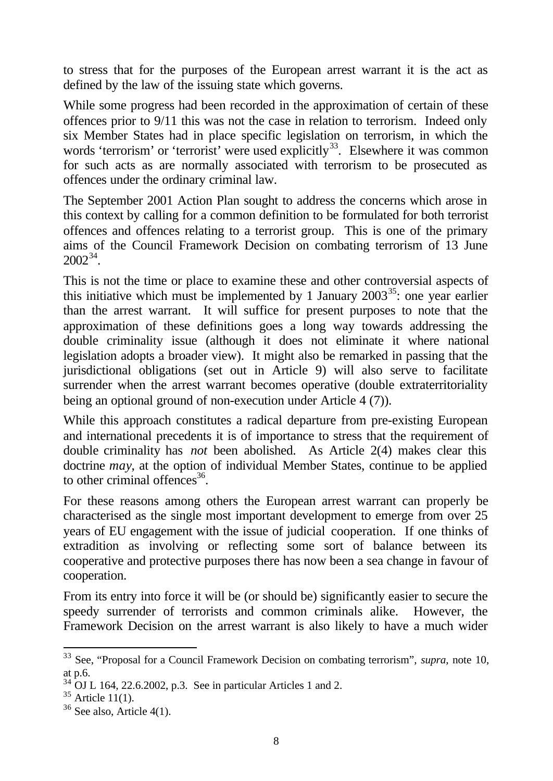to stress that for the purposes of the European arrest warrant it is the act as defined by the law of the issuing state which governs.

While some progress had been recorded in the approximation of certain of these offences prior to 9/11 this was not the case in relation to terrorism. Indeed only six Member States had in place specific legislation on terrorism, in which the words 'terrorism' or 'terrorist' were used explicitly<sup>33</sup>. Elsewhere it was common for such acts as are normally associated with terrorism to be prosecuted as offences under the ordinary criminal law.

The September 2001 Action Plan sought to address the concerns which arose in this context by calling for a common definition to be formulated for both terrorist offences and offences relating to a terrorist group. This is one of the primary aims of the Council Framework Decision on combating terrorism of 13 June  $2002^{34}$ .

This is not the time or place to examine these and other controversial aspects of this initiative which must be implemented by 1 January  $2003^{35}$ : one year earlier than the arrest warrant. It will suffice for present purposes to note that the approximation of these definitions goes a long way towards addressing the double criminality issue (although it does not eliminate it where national legislation adopts a broader view). It might also be remarked in passing that the jurisdictional obligations (set out in Article 9) will also serve to facilitate surrender when the arrest warrant becomes operative (double extraterritoriality being an optional ground of non-execution under Article 4 (7)).

While this approach constitutes a radical departure from pre-existing European and international precedents it is of importance to stress that the requirement of double criminality has *not* been abolished. As Article 2(4) makes clear this doctrine *may*, at the option of individual Member States, continue to be applied to other criminal offences $^{36}$ .

For these reasons among others the European arrest warrant can properly be characterised as the single most important development to emerge from over 25 years of EU engagement with the issue of judicial cooperation. If one thinks of extradition as involving or reflecting some sort of balance between its cooperative and protective purposes there has now been a sea change in favour of cooperation.

From its entry into force it will be (or should be) significantly easier to secure the speedy surrender of terrorists and common criminals alike. However, the Framework Decision on the arrest warrant is also likely to have a much wider

<sup>33</sup> See, "Proposal for a Council Framework Decision on combating terrorism", *supra*, note 10, at p.6.

 $34$  OJ L 164, 22.6.2002, p.3. See in particular Articles 1 and 2.

 $35$  Article 11(1).

 $36$  See also, Article 4(1).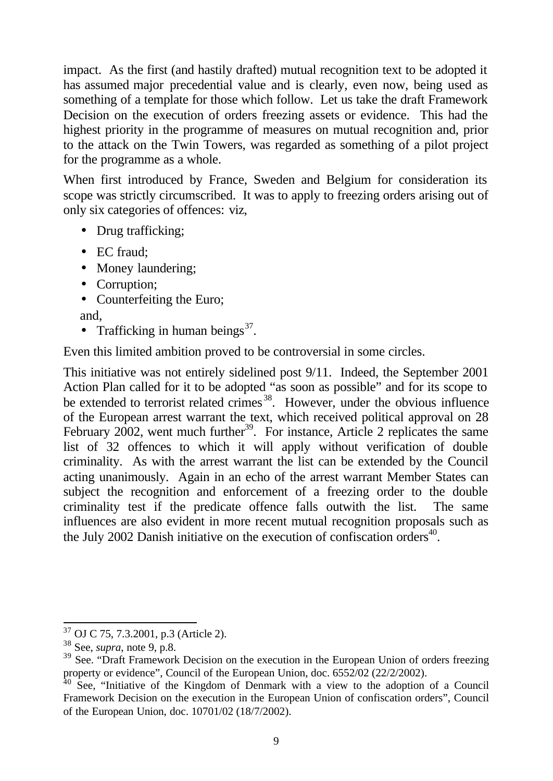impact. As the first (and hastily drafted) mutual recognition text to be adopted it has assumed major precedential value and is clearly, even now, being used as something of a template for those which follow. Let us take the draft Framework Decision on the execution of orders freezing assets or evidence. This had the highest priority in the programme of measures on mutual recognition and, prior to the attack on the Twin Towers, was regarded as something of a pilot project for the programme as a whole.

When first introduced by France, Sweden and Belgium for consideration its scope was strictly circumscribed. It was to apply to freezing orders arising out of only six categories of offences: viz,

- Drug trafficking;
- EC fraud:
- Money laundering;
- Corruption;
- Counterfeiting the Euro;

and,

• Trafficking in human beings $^{37}$ .

Even this limited ambition proved to be controversial in some circles.

This initiative was not entirely sidelined post 9/11. Indeed, the September 2001 Action Plan called for it to be adopted "as soon as possible" and for its scope to be extended to terrorist related crimes<sup>38</sup>. However, under the obvious influence of the European arrest warrant the text, which received political approval on 28 February 2002, went much further<sup>39</sup>. For instance, Article 2 replicates the same list of 32 offences to which it will apply without verification of double criminality. As with the arrest warrant the list can be extended by the Council acting unanimously. Again in an echo of the arrest warrant Member States can subject the recognition and enforcement of a freezing order to the double criminality test if the predicate offence falls outwith the list. The same influences are also evident in more recent mutual recognition proposals such as the July 2002 Danish initiative on the execution of confiscation orders $40$ .

l <sup>37</sup> OJ C 75, 7.3.2001, p.3 (Article 2).

<sup>38</sup> See, *supra*, note 9, p.8.

<sup>&</sup>lt;sup>39</sup> See. "Draft Framework Decision on the execution in the European Union of orders freezing property or evidence", Council of the European Union, doc. 6552/02 (22/2/2002).

 $40$  See, "Initiative of the Kingdom of Denmark with a view to the adoption of a Council Framework Decision on the execution in the European Union of confiscation orders", Council of the European Union, doc. 10701/02 (18/7/2002).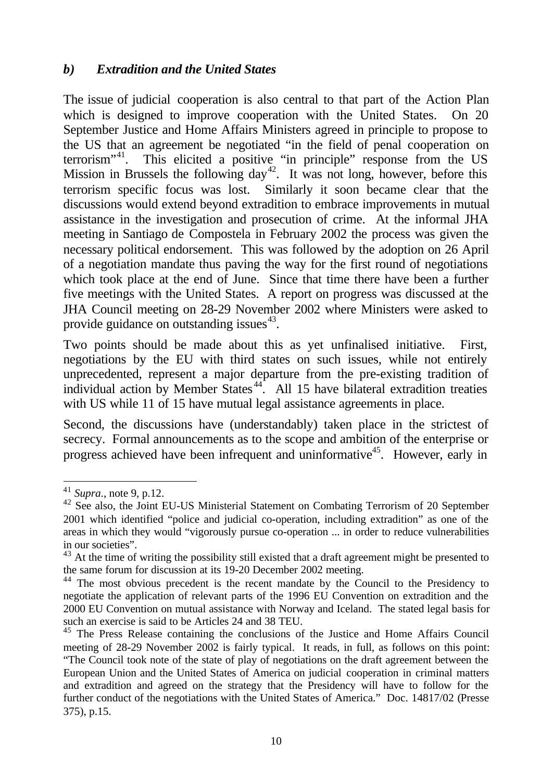#### *b) Extradition and the United States*

The issue of judicial cooperation is also central to that part of the Action Plan which is designed to improve cooperation with the United States. On 20 September Justice and Home Affairs Ministers agreed in principle to propose to the US that an agreement be negotiated "in the field of penal cooperation on terrorism"<sup>41</sup>. This elicited a positive "in principle" response from the US Mission in Brussels the following day<sup>42</sup>. It was not long, however, before this terrorism specific focus was lost. Similarly it soon became clear that the discussions would extend beyond extradition to embrace improvements in mutual assistance in the investigation and prosecution of crime. At the informal JHA meeting in Santiago de Compostela in February 2002 the process was given the necessary political endorsement. This was followed by the adoption on 26 April of a negotiation mandate thus paving the way for the first round of negotiations which took place at the end of June. Since that time there have been a further five meetings with the United States. A report on progress was discussed at the JHA Council meeting on 28-29 November 2002 where Ministers were asked to provide guidance on outstanding issues<sup>43</sup>.

Two points should be made about this as yet unfinalised initiative. First, negotiations by the EU with third states on such issues, while not entirely unprecedented, represent a major departure from the pre-existing tradition of individual action by Member States<sup>44</sup>. All 15 have bilateral extradition treaties with US while 11 of 15 have mutual legal assistance agreements in place.

Second, the discussions have (understandably) taken place in the strictest of secrecy. Formal announcements as to the scope and ambition of the enterprise or progress achieved have been infrequent and uninformative<sup>45</sup>. However, early in

j

<sup>41</sup> *Supra*., note 9, p.12.

<sup>42</sup> See also, the Joint EU-US Ministerial Statement on Combating Terrorism of 20 September 2001 which identified "police and judicial co-operation, including extradition" as one of the areas in which they would "vigorously pursue co-operation ... in order to reduce vulnerabilities in our societies".

<sup>&</sup>lt;sup>43</sup> At the time of writing the possibility still existed that a draft agreement might be presented to the same forum for discussion at its 19-20 December 2002 meeting.

<sup>&</sup>lt;sup>44</sup> The most obvious precedent is the recent mandate by the Council to the Presidency to negotiate the application of relevant parts of the 1996 EU Convention on extradition and the 2000 EU Convention on mutual assistance with Norway and Iceland. The stated legal basis for such an exercise is said to be Articles 24 and 38 TEU.

<sup>&</sup>lt;sup>45</sup> The Press Release containing the conclusions of the Justice and Home Affairs Council meeting of 28-29 November 2002 is fairly typical. It reads, in full, as follows on this point: "The Council took note of the state of play of negotiations on the draft agreement between the European Union and the United States of America on judicial cooperation in criminal matters and extradition and agreed on the strategy that the Presidency will have to follow for the further conduct of the negotiations with the United States of America." Doc. 14817/02 (Presse 375), p.15.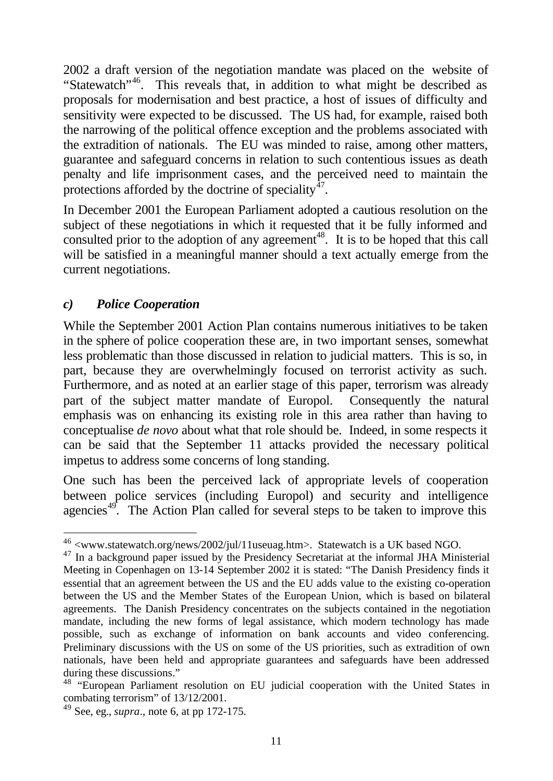2002 a draft version of the negotiation mandate was placed on the website of "Statewatch"<sup>46</sup>. This reveals that, in addition to what might be described as proposals for modernisation and best practice, a host of issues of difficulty and sensitivity were expected to be discussed. The US had, for example, raised both the narrowing of the political offence exception and the problems associated with the extradition of nationals. The EU was minded to raise, among other matters, guarantee and safeguard concerns in relation to such contentious issues as death penalty and life imprisonment cases, and the perceived need to maintain the protections afforded by the doctrine of speciality $^{47}$ .

In December 2001 the European Parliament adopted a cautious resolution on the subject of these negotiations in which it requested that it be fully informed and consulted prior to the adoption of any agreement<sup>48</sup>. It is to be hoped that this call will be satisfied in a meaningful manner should a text actually emerge from the current negotiations.

#### *c) Police Cooperation*

l

While the September 2001 Action Plan contains numerous initiatives to be taken in the sphere of police cooperation these are, in two important senses, somewhat less problematic than those discussed in relation to judicial matters. This is so, in part, because they are overwhelmingly focused on terrorist activity as such. Furthermore, and as noted at an earlier stage of this paper, terrorism was already part of the subject matter mandate of Europol. Consequently the natural emphasis was on enhancing its existing role in this area rather than having to conceptualise *de novo* about what that role should be. Indeed, in some respects it can be said that the September 11 attacks provided the necessary political impetus to address some concerns of long standing.

One such has been the perceived lack of appropriate levels of cooperation between police services (including Europol) and security and intelligence agencies<sup>49</sup>. The Action Plan called for several steps to be taken to improve this

 $^{46}$  <www.statewatch.org/news/2002/jul/11useuag.htm>. Statewatch is a UK based NGO.

<sup>&</sup>lt;sup>47</sup> In a background paper issued by the Presidency Secretariat at the informal JHA Ministerial Meeting in Copenhagen on 13-14 September 2002 it is stated: "The Danish Presidency finds it essential that an agreement between the US and the EU adds value to the existing co-operation between the US and the Member States of the European Union, which is based on bilateral agreements. The Danish Presidency concentrates on the subjects contained in the negotiation mandate, including the new forms of legal assistance, which modern technology has made possible, such as exchange of information on bank accounts and video conferencing. Preliminary discussions with the US on some of the US priorities, such as extradition of own nationals, have been held and appropriate guarantees and safeguards have been addressed during these discussions."

<sup>48</sup> "European Parliament resolution on EU judicial cooperation with the United States in combating terrorism" of 13/12/2001.

<sup>49</sup> See, eg., *supra*., note 6, at pp 172-175.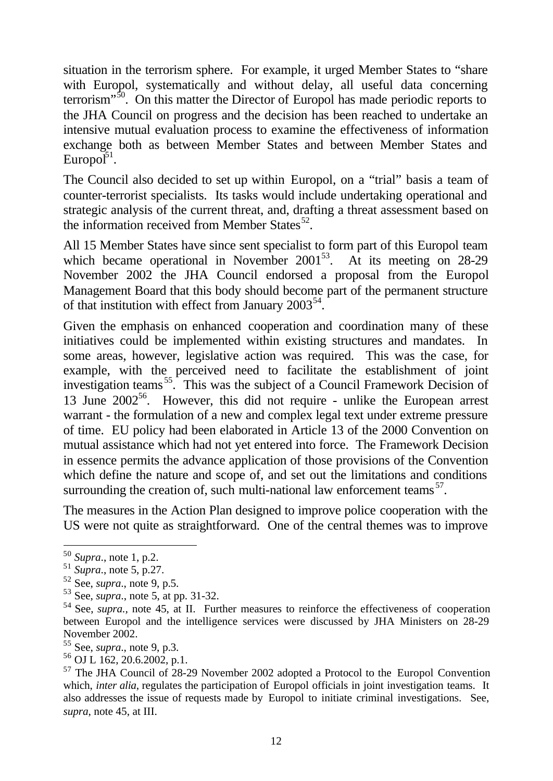situation in the terrorism sphere. For example, it urged Member States to "share with Europol, systematically and without delay, all useful data concerning terrorism"<sup>50</sup>. On this matter the Director of Europol has made periodic reports to the JHA Council on progress and the decision has been reached to undertake an intensive mutual evaluation process to examine the effectiveness of information exchange both as between Member States and between Member States and Europol $1^5$ <sup>51</sup>.

The Council also decided to set up within Europol, on a "trial" basis a team of counter-terrorist specialists. Its tasks would include undertaking operational and strategic analysis of the current threat, and, drafting a threat assessment based on the information received from Member States $^{52}$ .

All 15 Member States have since sent specialist to form part of this Europol team which became operational in November 2001<sup>53</sup>. At its meeting on 28-29 November 2002 the JHA Council endorsed a proposal from the Europol Management Board that this body should become part of the permanent structure of that institution with effect from January  $2003^{54}$ .

Given the emphasis on enhanced cooperation and coordination many of these initiatives could be implemented within existing structures and mandates. In some areas, however, legislative action was required. This was the case, for example, with the perceived need to facilitate the establishment of joint investigation teams<sup>55</sup>. This was the subject of a Council Framework Decision of 13 June  $2002^{56}$ . However, this did not require - unlike the European arrest warrant - the formulation of a new and complex legal text under extreme pressure of time. EU policy had been elaborated in Article 13 of the 2000 Convention on mutual assistance which had not yet entered into force. The Framework Decision in essence permits the advance application of those provisions of the Convention which define the nature and scope of, and set out the limitations and conditions surrounding the creation of, such multi-national law enforcement teams<sup>57</sup>.

The measures in the Action Plan designed to improve police cooperation with the US were not quite as straightforward. One of the central themes was to improve

<sup>50</sup> *Supra*., note 1, p.2.

<sup>51</sup> *Supra*., note 5, p.27.

<sup>52</sup> See, *supra*., note 9, p.5.

<sup>53</sup> See, *supra*., note 5, at pp. 31-32.

<sup>54</sup> See, *supra.,* note 45, at II. Further measures to reinforce the effectiveness of cooperation between Europol and the intelligence services were discussed by JHA Ministers on 28-29 November 2002.

<sup>55</sup> See, *supra*., note 9, p.3.

<sup>56</sup> OJ L 162, 20.6.2002, p.1.

<sup>&</sup>lt;sup>57</sup> The JHA Council of 28-29 November 2002 adopted a Protocol to the Europol Convention which, *inter alia*, regulates the participation of Europol officials in joint investigation teams. It also addresses the issue of requests made by Europol to initiate criminal investigations. See, *supra*, note 45, at III.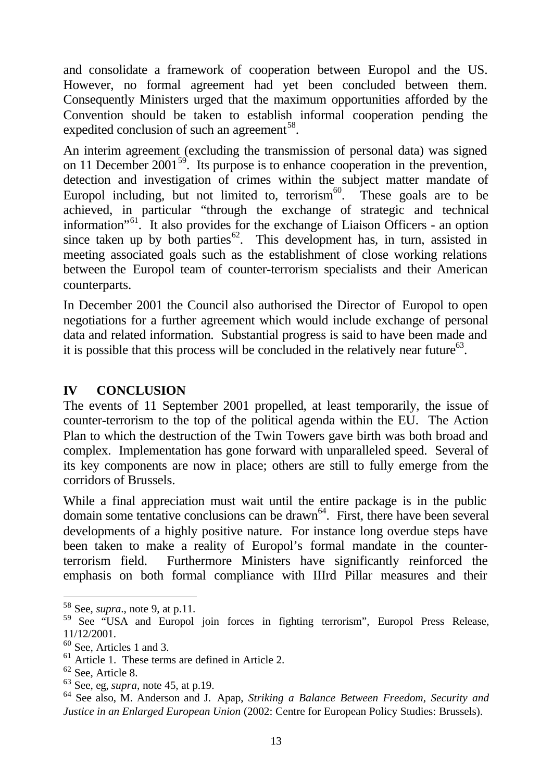and consolidate a framework of cooperation between Europol and the US. However, no formal agreement had yet been concluded between them. Consequently Ministers urged that the maximum opportunities afforded by the Convention should be taken to establish informal cooperation pending the expedited conclusion of such an agreement<sup>58</sup>.

An interim agreement (excluding the transmission of personal data) was signed on 11 December 2001<sup>59</sup>. Its purpose is to enhance cooperation in the prevention, detection and investigation of crimes within the subject matter mandate of Europol including, but not limited to, terrorism $60$ . These goals are to be achieved, in particular "through the exchange of strategic and technical information"<sup>61</sup>. It also provides for the exchange of Liaison Officers - an option since taken up by both parties<sup>62</sup>. This development has, in turn, assisted in meeting associated goals such as the establishment of close working relations between the Europol team of counter-terrorism specialists and their American counterparts.

In December 2001 the Council also authorised the Director of Europol to open negotiations for a further agreement which would include exchange of personal data and related information. Substantial progress is said to have been made and it is possible that this process will be concluded in the relatively near future $^{63}$ .

#### **IV CONCLUSION**

The events of 11 September 2001 propelled, at least temporarily, the issue of counter-terrorism to the top of the political agenda within the EU. The Action Plan to which the destruction of the Twin Towers gave birth was both broad and complex. Implementation has gone forward with unparalleled speed. Several of its key components are now in place; others are still to fully emerge from the corridors of Brussels.

While a final appreciation must wait until the entire package is in the public domain some tentative conclusions can be drawn<sup>64</sup>. First, there have been several developments of a highly positive nature. For instance long overdue steps have been taken to make a reality of Europol's formal mandate in the counterterrorism field. Furthermore Ministers have significantly reinforced the emphasis on both formal compliance with IIIrd Pillar measures and their

<sup>58</sup> See, *supra*., note 9, at p.11.

<sup>&</sup>lt;sup>59</sup> See "USA and Europol join forces in fighting terrorism", Europol Press Release, 11/12/2001.

<sup>60</sup> See, Articles 1 and 3.

<sup>61</sup> Article 1. These terms are defined in Article 2.

<sup>62</sup> See, Article 8.

<sup>63</sup> See, eg, *supra*, note 45, at p.19.

<sup>64</sup> See also, M. Anderson and J. Apap, *Striking a Balance Between Freedom, Security and Justice in an Enlarged European Union* (2002: Centre for European Policy Studies: Brussels).